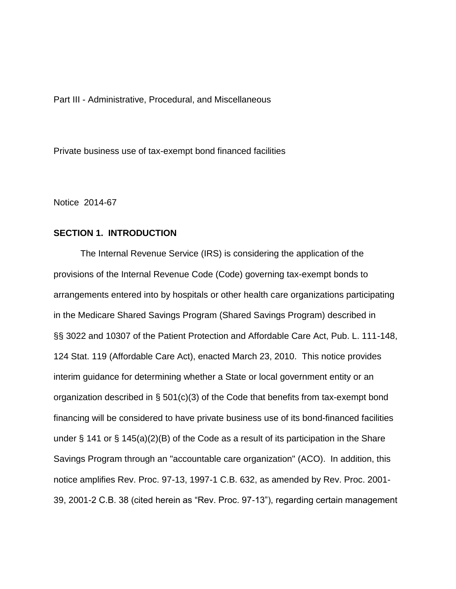Part III - Administrative, Procedural, and Miscellaneous

Private business use of tax-exempt bond financed facilities

Notice 2014-67

## **SECTION 1. INTRODUCTION**

The Internal Revenue Service (IRS) is considering the application of the provisions of the Internal Revenue Code (Code) governing tax-exempt bonds to arrangements entered into by hospitals or other health care organizations participating in the Medicare Shared Savings Program (Shared Savings Program) described in §§ 3022 and 10307 of the Patient Protection and Affordable Care Act, Pub. L. 111-148, 124 Stat. 119 (Affordable Care Act), enacted March 23, 2010. This notice provides interim guidance for determining whether a State or local government entity or an organization described in § 501(c)(3) of the Code that benefits from tax-exempt bond financing will be considered to have private business use of its bond-financed facilities under § 141 or § 145(a)(2)(B) of the Code as a result of its participation in the Share Savings Program through an "accountable care organization" (ACO). In addition, this notice amplifies Rev. Proc. 97-13, 1997-1 C.B. 632, as amended by Rev. Proc. 2001- 39, 2001-2 C.B. 38 (cited herein as "Rev. Proc. 97-13"), regarding certain management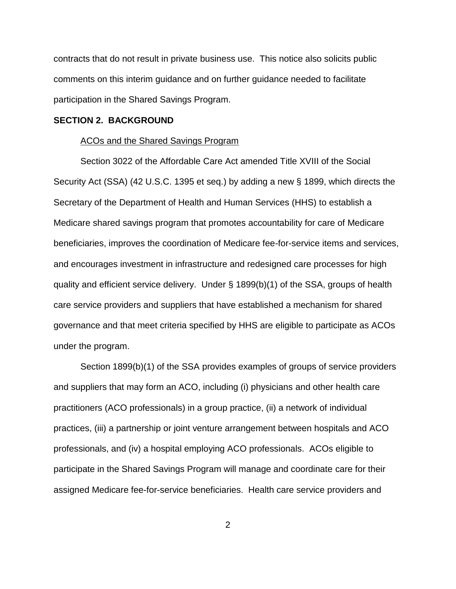contracts that do not result in private business use. This notice also solicits public comments on this interim guidance and on further guidance needed to facilitate participation in the Shared Savings Program.

#### **SECTION 2. BACKGROUND**

#### ACOs and the Shared Savings Program

Section 3022 of the Affordable Care Act amended Title XVIII of the Social Security Act (SSA) (42 U.S.C. 1395 et seq.) by adding a new § 1899, which directs the Secretary of the Department of Health and Human Services (HHS) to establish a Medicare shared savings program that promotes accountability for care of Medicare beneficiaries, improves the coordination of Medicare fee-for-service items and services, and encourages investment in infrastructure and redesigned care processes for high quality and efficient service delivery. Under § 1899(b)(1) of the SSA, groups of health care service providers and suppliers that have established a mechanism for shared governance and that meet criteria specified by HHS are eligible to participate as ACOs under the program.

Section 1899(b)(1) of the SSA provides examples of groups of service providers and suppliers that may form an ACO, including (i) physicians and other health care practitioners (ACO professionals) in a group practice, (ii) a network of individual practices, (iii) a partnership or joint venture arrangement between hospitals and ACO professionals, and (iv) a hospital employing ACO professionals. ACOs eligible to participate in the Shared Savings Program will manage and coordinate care for their assigned Medicare fee-for-service beneficiaries. Health care service providers and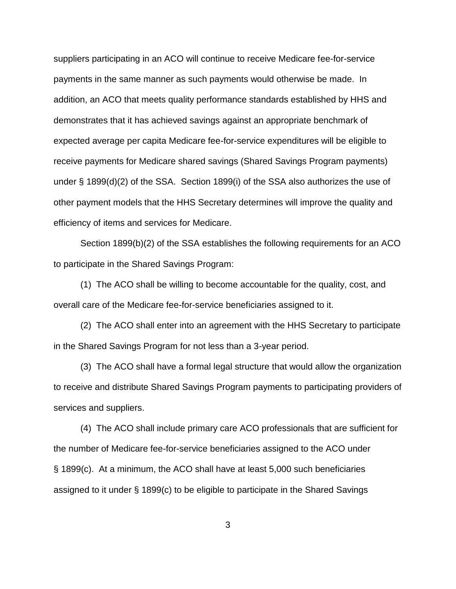suppliers participating in an ACO will continue to receive Medicare fee-for-service payments in the same manner as such payments would otherwise be made. In addition, an ACO that meets quality performance standards established by HHS and demonstrates that it has achieved savings against an appropriate benchmark of expected average per capita Medicare fee-for-service expenditures will be eligible to receive payments for Medicare shared savings (Shared Savings Program payments) under § 1899(d)(2) of the SSA. Section 1899(i) of the SSA also authorizes the use of other payment models that the HHS Secretary determines will improve the quality and efficiency of items and services for Medicare.

Section 1899(b)(2) of the SSA establishes the following requirements for an ACO to participate in the Shared Savings Program:

(1) The ACO shall be willing to become accountable for the quality, cost, and overall care of the Medicare fee-for-service beneficiaries assigned to it.

(2) The ACO shall enter into an agreement with the HHS Secretary to participate in the Shared Savings Program for not less than a 3-year period.

(3) The ACO shall have a formal legal structure that would allow the organization to receive and distribute Shared Savings Program payments to participating providers of services and suppliers.

(4) The ACO shall include primary care ACO professionals that are sufficient for the number of Medicare fee-for-service beneficiaries assigned to the ACO under § 1899(c). At a minimum, the ACO shall have at least 5,000 such beneficiaries assigned to it under § 1899(c) to be eligible to participate in the Shared Savings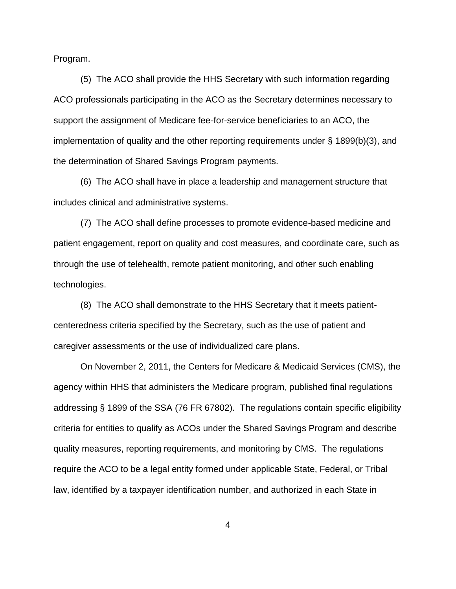Program.

(5) The ACO shall provide the HHS Secretary with such information regarding ACO professionals participating in the ACO as the Secretary determines necessary to support the assignment of Medicare fee-for-service beneficiaries to an ACO, the implementation of quality and the other reporting requirements under § 1899(b)(3), and the determination of Shared Savings Program payments.

(6) The ACO shall have in place a leadership and management structure that includes clinical and administrative systems.

(7) The ACO shall define processes to promote evidence-based medicine and patient engagement, report on quality and cost measures, and coordinate care, such as through the use of telehealth, remote patient monitoring, and other such enabling technologies.

(8) The ACO shall demonstrate to the HHS Secretary that it meets patientcenteredness criteria specified by the Secretary, such as the use of patient and caregiver assessments or the use of individualized care plans.

On November 2, 2011, the Centers for Medicare & Medicaid Services (CMS), the agency within HHS that administers the Medicare program, published final regulations addressing § 1899 of the SSA (76 FR 67802). The regulations contain specific eligibility criteria for entities to qualify as ACOs under the Shared Savings Program and describe quality measures, reporting requirements, and monitoring by CMS. The regulations require the ACO to be a legal entity formed under applicable State, Federal, or Tribal law, identified by a taxpayer identification number, and authorized in each State in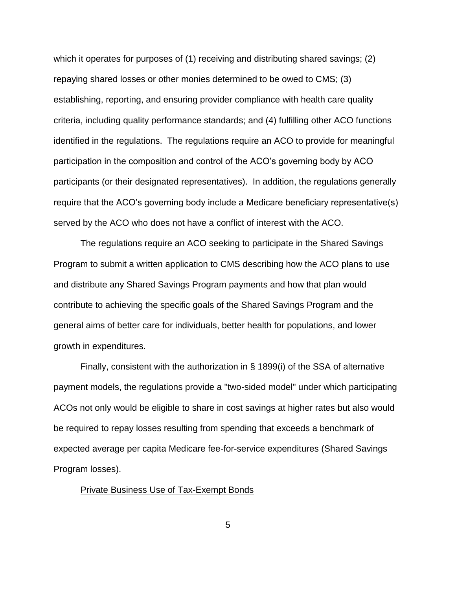which it operates for purposes of (1) receiving and distributing shared savings; (2) repaying shared losses or other monies determined to be owed to CMS; (3) establishing, reporting, and ensuring provider compliance with health care quality criteria, including quality performance standards; and (4) fulfilling other ACO functions identified in the regulations. The regulations require an ACO to provide for meaningful participation in the composition and control of the ACO's governing body by ACO participants (or their designated representatives). In addition, the regulations generally require that the ACO's governing body include a Medicare beneficiary representative(s) served by the ACO who does not have a conflict of interest with the ACO.

The regulations require an ACO seeking to participate in the Shared Savings Program to submit a written application to CMS describing how the ACO plans to use and distribute any Shared Savings Program payments and how that plan would contribute to achieving the specific goals of the Shared Savings Program and the general aims of better care for individuals, better health for populations, and lower growth in expenditures.

Finally, consistent with the authorization in § 1899(i) of the SSA of alternative payment models, the regulations provide a "two-sided model" under which participating ACOs not only would be eligible to share in cost savings at higher rates but also would be required to repay losses resulting from spending that exceeds a benchmark of expected average per capita Medicare fee-for-service expenditures (Shared Savings Program losses).

### Private Business Use of Tax-Exempt Bonds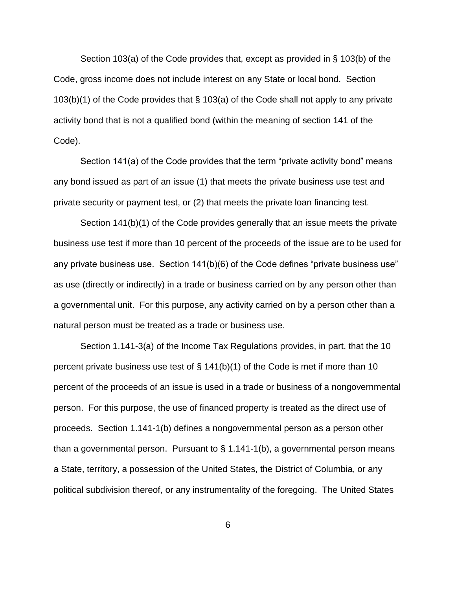Section 103(a) of the Code provides that, except as provided in § 103(b) of the Code, gross income does not include interest on any State or local bond. Section 103(b)(1) of the Code provides that § 103(a) of the Code shall not apply to any private activity bond that is not a qualified bond (within the meaning of section 141 of the Code).

Section 141(a) of the Code provides that the term "private activity bond" means any bond issued as part of an issue (1) that meets the private business use test and private security or payment test, or (2) that meets the private loan financing test.

Section 141(b)(1) of the Code provides generally that an issue meets the private business use test if more than 10 percent of the proceeds of the issue are to be used for any private business use. Section 141(b)(6) of the Code defines "private business use" as use (directly or indirectly) in a trade or business carried on by any person other than a governmental unit. For this purpose, any activity carried on by a person other than a natural person must be treated as a trade or business use.

Section 1.141-3(a) of the Income Tax Regulations provides, in part, that the 10 percent private business use test of  $\S$  141(b)(1) of the Code is met if more than 10 percent of the proceeds of an issue is used in a trade or business of a nongovernmental person. For this purpose, the use of financed property is treated as the direct use of proceeds. Section 1.141-1(b) defines a nongovernmental person as a person other than a governmental person. Pursuant to § 1.141-1(b), a governmental person means a State, territory, a possession of the United States, the District of Columbia, or any political subdivision thereof, or any instrumentality of the foregoing. The United States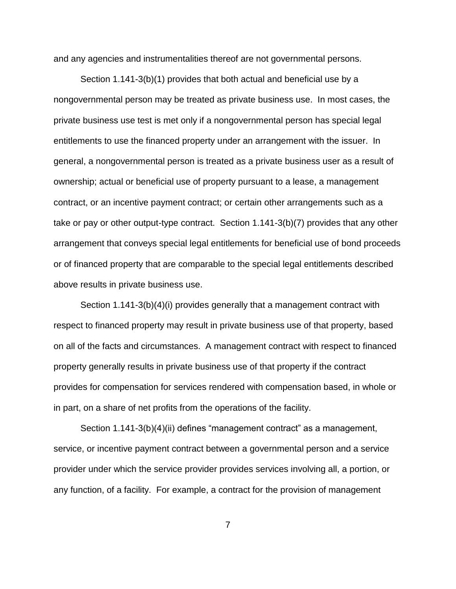and any agencies and instrumentalities thereof are not governmental persons.

Section 1.141-3(b)(1) provides that both actual and beneficial use by a nongovernmental person may be treated as private business use. In most cases, the private business use test is met only if a nongovernmental person has special legal entitlements to use the financed property under an arrangement with the issuer. In general, a nongovernmental person is treated as a private business user as a result of ownership; actual or beneficial use of property pursuant to a lease, a management contract, or an incentive payment contract; or certain other arrangements such as a take or pay or other output-type contract. Section 1.141-3(b)(7) provides that any other arrangement that conveys special legal entitlements for beneficial use of bond proceeds or of financed property that are comparable to the special legal entitlements described above results in private business use.

Section 1.141-3(b)(4)(i) provides generally that a management contract with respect to financed property may result in private business use of that property, based on all of the facts and circumstances. A management contract with respect to financed property generally results in private business use of that property if the contract provides for compensation for services rendered with compensation based, in whole or in part, on a share of net profits from the operations of the facility.

Section 1.141-3(b)(4)(ii) defines "management contract" as a management, service, or incentive payment contract between a governmental person and a service provider under which the service provider provides services involving all, a portion, or any function, of a facility. For example, a contract for the provision of management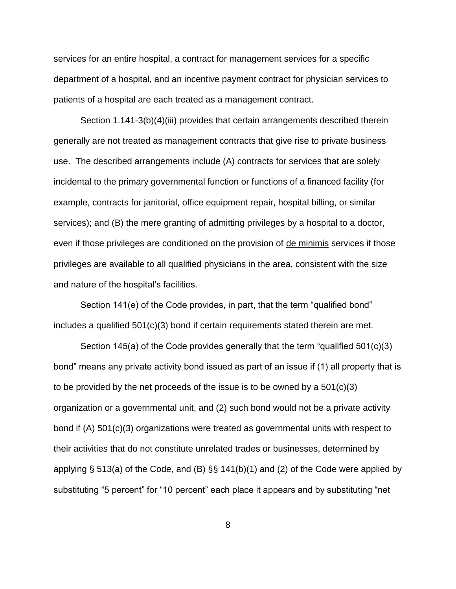services for an entire hospital, a contract for management services for a specific department of a hospital, and an incentive payment contract for physician services to patients of a hospital are each treated as a management contract.

Section 1.141-3(b)(4)(iii) provides that certain arrangements described therein generally are not treated as management contracts that give rise to private business use. The described arrangements include (A) contracts for services that are solely incidental to the primary governmental function or functions of a financed facility (for example, contracts for janitorial, office equipment repair, hospital billing, or similar services); and (B) the mere granting of admitting privileges by a hospital to a doctor, even if those privileges are conditioned on the provision of de minimis services if those privileges are available to all qualified physicians in the area, consistent with the size and nature of the hospital's facilities.

Section 141(e) of the Code provides, in part, that the term "qualified bond" includes a qualified 501(c)(3) bond if certain requirements stated therein are met.

Section 145(a) of the Code provides generally that the term "qualified 501(c)(3) bond" means any private activity bond issued as part of an issue if (1) all property that is to be provided by the net proceeds of the issue is to be owned by a  $501(c)(3)$ organization or a governmental unit, and (2) such bond would not be a private activity bond if (A) 501(c)(3) organizations were treated as governmental units with respect to their activities that do not constitute unrelated trades or businesses, determined by applying § 513(a) of the Code, and (B) §§ 141(b)(1) and (2) of the Code were applied by substituting "5 percent" for "10 percent" each place it appears and by substituting "net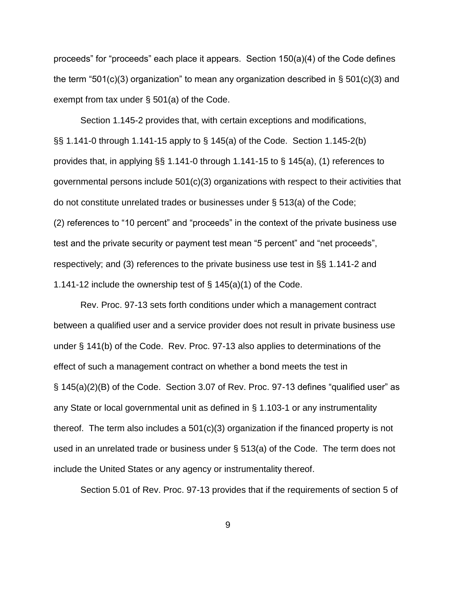proceeds" for "proceeds" each place it appears. Section 150(a)(4) of the Code defines the term "501(c)(3) organization" to mean any organization described in  $\S$  501(c)(3) and exempt from tax under § 501(a) of the Code.

Section 1.145-2 provides that, with certain exceptions and modifications, §§ 1.141-0 through 1.141-15 apply to § 145(a) of the Code. Section 1.145-2(b) provides that, in applying §§ 1.141-0 through 1.141-15 to § 145(a), (1) references to governmental persons include 501(c)(3) organizations with respect to their activities that do not constitute unrelated trades or businesses under § 513(a) of the Code; (2) references to "10 percent" and "proceeds" in the context of the private business use test and the private security or payment test mean "5 percent" and "net proceeds", respectively; and (3) references to the private business use test in §§ 1.141-2 and 1.141-12 include the ownership test of § 145(a)(1) of the Code.

Rev. Proc. 97-13 sets forth conditions under which a management contract between a qualified user and a service provider does not result in private business use under § 141(b) of the Code. Rev. Proc. 97-13 also applies to determinations of the effect of such a management contract on whether a bond meets the test in § 145(a)(2)(B) of the Code. Section 3.07 of Rev. Proc. 97-13 defines "qualified user" as any State or local governmental unit as defined in § 1.103-1 or any instrumentality thereof. The term also includes a 501(c)(3) organization if the financed property is not used in an unrelated trade or business under § 513(a) of the Code. The term does not include the United States or any agency or instrumentality thereof.

Section 5.01 of Rev. Proc. 97-13 provides that if the requirements of section 5 of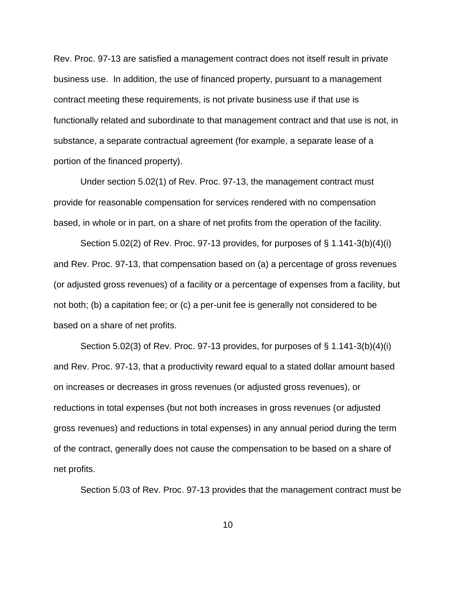Rev. Proc. 97-13 are satisfied a management contract does not itself result in private business use. In addition, the use of financed property, pursuant to a management contract meeting these requirements, is not private business use if that use is functionally related and subordinate to that management contract and that use is not, in substance, a separate contractual agreement (for example, a separate lease of a portion of the financed property).

Under section 5.02(1) of Rev. Proc. 97-13, the management contract must provide for reasonable compensation for services rendered with no compensation based, in whole or in part, on a share of net profits from the operation of the facility.

Section 5.02(2) of Rev. Proc. 97-13 provides, for purposes of § 1.141-3(b)(4)(i) and Rev. Proc. 97-13, that compensation based on (a) a percentage of gross revenues (or adjusted gross revenues) of a facility or a percentage of expenses from a facility, but not both; (b) a capitation fee; or (c) a per-unit fee is generally not considered to be based on a share of net profits.

Section 5.02(3) of Rev. Proc. 97-13 provides, for purposes of § 1.141-3(b)(4)(i) and Rev. Proc. 97-13, that a productivity reward equal to a stated dollar amount based on increases or decreases in gross revenues (or adjusted gross revenues), or reductions in total expenses (but not both increases in gross revenues (or adjusted gross revenues) and reductions in total expenses) in any annual period during the term of the contract, generally does not cause the compensation to be based on a share of net profits.

Section 5.03 of Rev. Proc. 97-13 provides that the management contract must be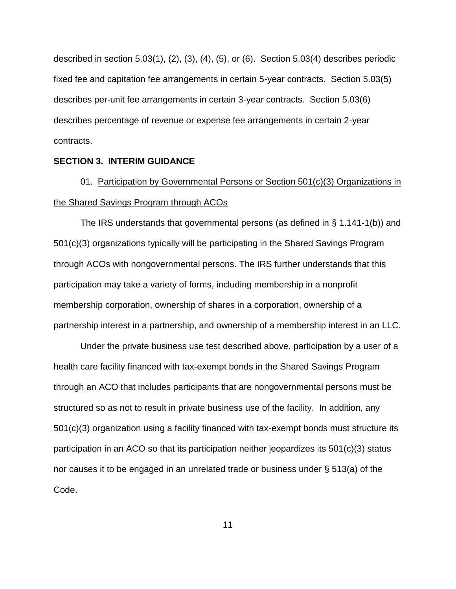described in section 5.03(1), (2), (3), (4), (5), or (6). Section 5.03(4) describes periodic fixed fee and capitation fee arrangements in certain 5-year contracts. Section 5.03(5) describes per-unit fee arrangements in certain 3-year contracts. Section 5.03(6) describes percentage of revenue or expense fee arrangements in certain 2-year contracts.

### **SECTION 3. INTERIM GUIDANCE**

01. Participation by Governmental Persons or Section 501(c)(3) Organizations in the Shared Savings Program through ACOs

The IRS understands that governmental persons (as defined in § 1.141-1(b)) and 501(c)(3) organizations typically will be participating in the Shared Savings Program through ACOs with nongovernmental persons. The IRS further understands that this participation may take a variety of forms, including membership in a nonprofit membership corporation, ownership of shares in a corporation, ownership of a partnership interest in a partnership, and ownership of a membership interest in an LLC.

Under the private business use test described above, participation by a user of a health care facility financed with tax-exempt bonds in the Shared Savings Program through an ACO that includes participants that are nongovernmental persons must be structured so as not to result in private business use of the facility. In addition, any 501(c)(3) organization using a facility financed with tax-exempt bonds must structure its participation in an ACO so that its participation neither jeopardizes its 501(c)(3) status nor causes it to be engaged in an unrelated trade or business under § 513(a) of the Code.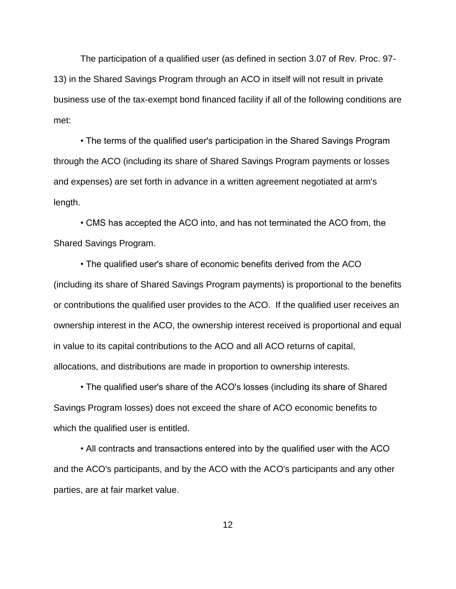The participation of a qualified user (as defined in section 3.07 of Rev. Proc. 97- 13) in the Shared Savings Program through an ACO in itself will not result in private business use of the tax-exempt bond financed facility if all of the following conditions are met:

• The terms of the qualified user's participation in the Shared Savings Program through the ACO (including its share of Shared Savings Program payments or losses and expenses) are set forth in advance in a written agreement negotiated at arm's length.

• CMS has accepted the ACO into, and has not terminated the ACO from, the Shared Savings Program.

• The qualified user's share of economic benefits derived from the ACO (including its share of Shared Savings Program payments) is proportional to the benefits or contributions the qualified user provides to the ACO. If the qualified user receives an ownership interest in the ACO, the ownership interest received is proportional and equal in value to its capital contributions to the ACO and all ACO returns of capital, allocations, and distributions are made in proportion to ownership interests.

• The qualified user's share of the ACO's losses (including its share of Shared Savings Program losses) does not exceed the share of ACO economic benefits to which the qualified user is entitled.

• All contracts and transactions entered into by the qualified user with the ACO and the ACO's participants, and by the ACO with the ACO's participants and any other parties, are at fair market value.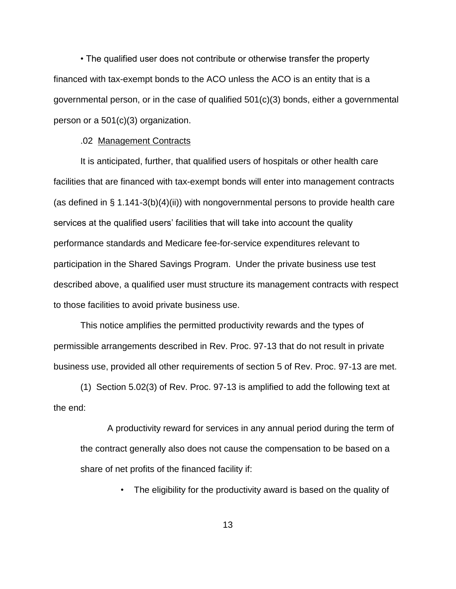• The qualified user does not contribute or otherwise transfer the property financed with tax-exempt bonds to the ACO unless the ACO is an entity that is a governmental person, or in the case of qualified 501(c)(3) bonds, either a governmental person or a 501(c)(3) organization.

### .02 Management Contracts

It is anticipated, further, that qualified users of hospitals or other health care facilities that are financed with tax-exempt bonds will enter into management contracts (as defined in  $\S$  1.141-3(b)(4)(ii)) with nongovernmental persons to provide health care services at the qualified users' facilities that will take into account the quality performance standards and Medicare fee-for-service expenditures relevant to participation in the Shared Savings Program. Under the private business use test described above, a qualified user must structure its management contracts with respect to those facilities to avoid private business use.

This notice amplifies the permitted productivity rewards and the types of permissible arrangements described in Rev. Proc. 97-13 that do not result in private business use, provided all other requirements of section 5 of Rev. Proc. 97-13 are met.

(1) Section 5.02(3) of Rev. Proc. 97-13 is amplified to add the following text at the end:

A productivity reward for services in any annual period during the term of the contract generally also does not cause the compensation to be based on a share of net profits of the financed facility if:

• The eligibility for the productivity award is based on the quality of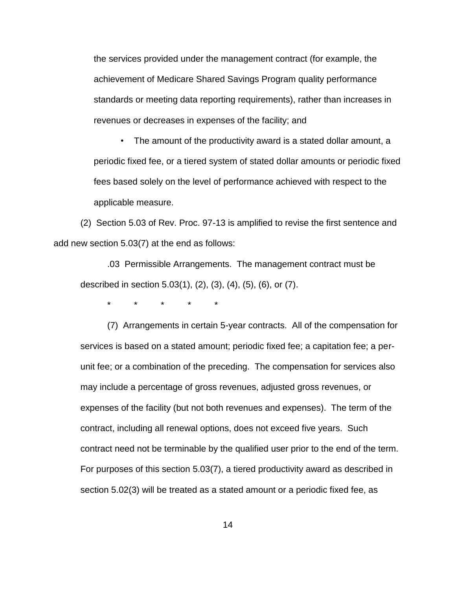the services provided under the management contract (for example, the achievement of Medicare Shared Savings Program quality performance standards or meeting data reporting requirements), rather than increases in revenues or decreases in expenses of the facility; and

• The amount of the productivity award is a stated dollar amount, a periodic fixed fee, or a tiered system of stated dollar amounts or periodic fixed fees based solely on the level of performance achieved with respect to the applicable measure.

(2) Section 5.03 of Rev. Proc. 97-13 is amplified to revise the first sentence and add new section 5.03(7) at the end as follows:

.03 Permissible Arrangements. The management contract must be described in section 5.03(1), (2), (3), (4), (5), (6), or (7).

\* \* \* \* \*

(7) Arrangements in certain 5-year contracts. All of the compensation for services is based on a stated amount; periodic fixed fee; a capitation fee; a perunit fee; or a combination of the preceding. The compensation for services also may include a percentage of gross revenues, adjusted gross revenues, or expenses of the facility (but not both revenues and expenses). The term of the contract, including all renewal options, does not exceed five years. Such contract need not be terminable by the qualified user prior to the end of the term. For purposes of this section 5.03(7), a tiered productivity award as described in section 5.02(3) will be treated as a stated amount or a periodic fixed fee, as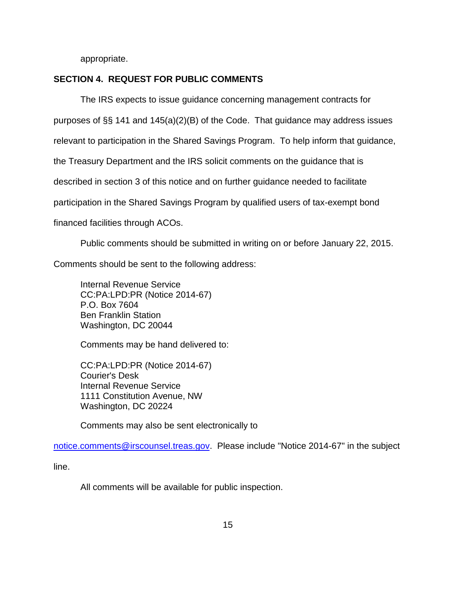appropriate.

# **SECTION 4. REQUEST FOR PUBLIC COMMENTS**

The IRS expects to issue guidance concerning management contracts for

purposes of §§ 141 and 145(a)(2)(B) of the Code. That guidance may address issues

relevant to participation in the Shared Savings Program. To help inform that guidance,

the Treasury Department and the IRS solicit comments on the guidance that is

described in section 3 of this notice and on further guidance needed to facilitate

participation in the Shared Savings Program by qualified users of tax-exempt bond

financed facilities through ACOs.

Public comments should be submitted in writing on or before January 22, 2015.

Comments should be sent to the following address:

Internal Revenue Service CC:PA:LPD:PR (Notice 2014-67) P.O. Box 7604 Ben Franklin Station Washington, DC 20044

Comments may be hand delivered to:

CC:PA:LPD:PR (Notice 2014-67) Courier's Desk Internal Revenue Service 1111 Constitution Avenue, NW Washington, DC 20224

Comments may also be sent electronically to

[notice.comments@irscounsel.treas.gov.](mailto:notice.comments@irscounsel.treas.gov) Please include "Notice 2014-67" in the subject

line.

All comments will be available for public inspection.